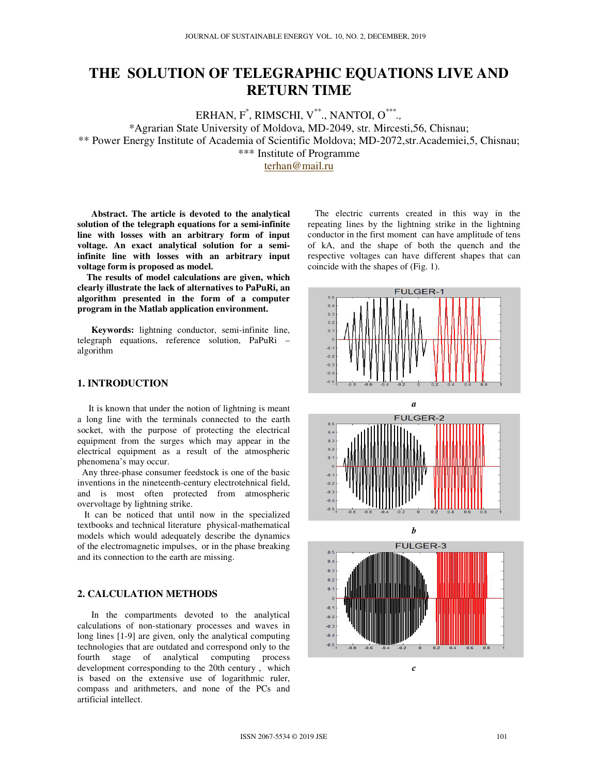# **THE SOLUTION OF TELEGRAPHIC EQUATIONS LIVE AND RETURN TIME**

ERHAN, F\* , RIMSCHI, V\*\*., NANTOI, O\*\*\* *.,*

\*Agrarian State University of Moldova, MD-2049, str. Mircesti,56, Chisnau;

\*\* Power Energy Institute of Academia of Scientific Moldova; MD-2072,str.Academiei,5, Chisnau;

\*\*\* Institute of Programme

terhan@mail.ru

**Abstract. The article is devoted to the analytical solution of the telegraph equations for a semi-infinite line with losses with an arbitrary form of input voltage. An exact analytical solution for a semiinfinite line with losses with an arbitrary input voltage form is proposed as model.** 

 **The results of model calculations are given, which clearly illustrate the lack of alternatives to PaPuRi, an algorithm presented in the form of a computer program in the Matlab application environment.**

 **Keywords:** lightning conductor, semi-infinite line, telegraph equations, reference solution, PaPuRi – algorithm

# **1. INTRODUCTION**

 It is known that under the notion of lightning is meant a long line with the terminals connected to the earth socket, with the purpose of protecting the electrical equipment from the surges which may appear in the electrical equipment as a result of the atmospheric phenomena's may occur.

 Any three-phase consumer feedstock is one of the basic inventions in the nineteenth-century electrotehnical field, and is most often protected from atmospheric overvoltage by lightning strike.

 It can be noticed that until now in the specialized textbooks and technical literature physical-mathematical models which would adequately describe the dynamics of the electromagnetic impulses, or in the phase breaking and its connection to the earth are missing.

# **2. CALCULATION METHODS**

 In the compartments devoted to the analytical calculations of non-stationary processes and waves in long lines [1-9] are given, only the analytical computing technologies that are outdated and correspond only to the fourth stage of analytical computing process development corresponding to the 20th century , which is based on the extensive use of logarithmic ruler, compass and arithmeters, and none of the PCs and artificial intellect.

 The electric currents created in this way in the repeating lines by the lightning strike in the lightning conductor in the first moment can have amplitude of tens of kA, and the shape of both the quench and the respective voltages can have different shapes that can coincide with the shapes of (Fig. 1).





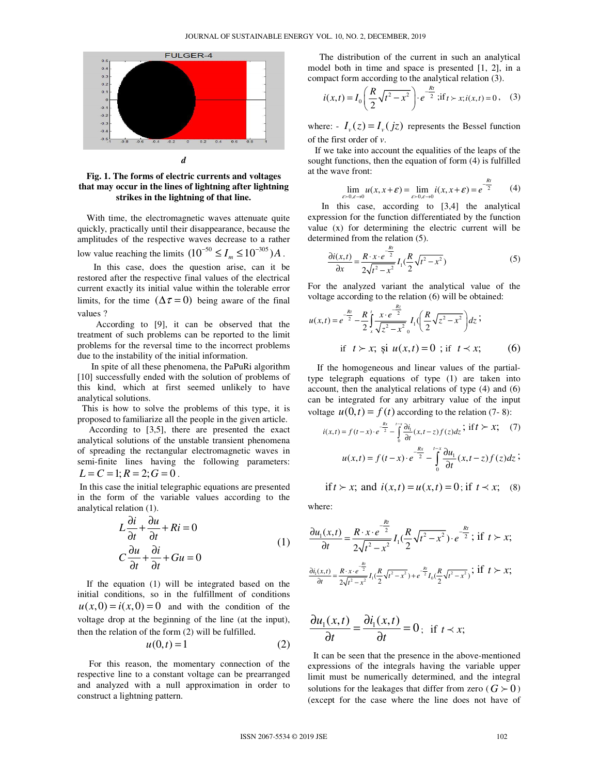

**Fig. 1. The forms of electric currents and voltages that may occur in the lines of lightning after lightning strikes in the lightning of that line.** 

 With time, the electromagnetic waves attenuate quite quickly, practically until their disappearance, because the amplitudes of the respective waves decrease to a rather low value reaching the limits  $(10^{-50} \le I_m \le 10^{-305}) A$ .

 In this case, does the question arise, can it be restored after the respective final values of the electrical current exactly its initial value within the tolerable error limits, for the time  $(\Delta \tau = 0)$  being aware of the final values ?

 According to [9], it can be observed that the treatment of such problems can be reported to the limit problems for the reversal time to the incorrect problems due to the instability of the initial information.

 In spite of all these phenomena, the PaPuRi algorithm [10] successfully ended with the solution of problems of this kind, which at first seemed unlikely to have analytical solutions.

 This is how to solve the problems of this type, it is proposed to familiarize all the people in the given article.

 According to [3,5], there are presented the exact analytical solutions of the unstable transient phenomena of spreading the rectangular electromagnetic waves in semi-finite lines having the following parameters:  $L = C = 1; R = 2; G = 0$ .

 In this case the initial telegraphic equations are presented in the form of the variable values according to the analytical relation (1).

$$
L\frac{\partial i}{\partial t} + \frac{\partial u}{\partial t} + Ri = 0
$$
  

$$
C\frac{\partial u}{\partial t} + \frac{\partial i}{\partial t} + Gu = 0
$$
 (1)

 If the equation (1) will be integrated based on the initial conditions, so in the fulfillment of conditions  $u(x,0) = i(x,0) = 0$  and with the condition of the voltage drop at the beginning of the line (at the input), then the relation of the form (2) will be fulfilled.

$$
u(0,t) = 1 \tag{2}
$$

 For this reason, the momentary connection of the respective line to a constant voltage can be prearranged and analyzed with a null approximation in order to construct a lightning pattern.

 The distribution of the current in such an analytical model both in time and space is presented [1, 2], in a compact form according to the analytical relation (3).

$$
i(x,t) = I_0\left(\frac{R}{2}\sqrt{t^2 - x^2}\right) \cdot e^{-\frac{Rt}{2}}; \text{if } t > x; i(x,t) = 0 \,, \quad (3)
$$

where:  $I_{\nu}(z) = I_{\nu}(jz)$  represents the Bessel function of the first order of *v*.

 If we take into account the equalities of the leaps of the sought functions, then the equation of form (4) is fulfilled at the wave front:

$$
\lim_{\varepsilon>0,\varepsilon\to 0} u(x,x+\varepsilon) = \lim_{\varepsilon>0,\varepsilon\to 0} i(x,x+\varepsilon) = e^{-\frac{Rt}{2}} \qquad (4)
$$

 In this case, according to [3,4] the analytical expression for the function differentiated by the function value (x) for determining the electric current will be determined from the relation (5).

$$
\frac{\partial i(x,t)}{\partial x} = \frac{R \cdot x \cdot e^{-\frac{Rt}{2}}}{2\sqrt{t^2 - x^2}} I_1(\frac{R}{2}\sqrt{t^2 - x^2})
$$
(5)

For the analyzed variant the analytical value of the voltage according to the relation (6) will be obtained:

*Rz*

$$
u(x,t) = e^{-\frac{Rt}{2}} - \frac{R}{2} \int_{x}^{t} \frac{x \cdot e^{-\frac{\pi z}{2}}}{\sqrt{z^2 - x^2}} I_1(\frac{R}{2} \sqrt{z^2 - x^2}) dz;
$$
  
if  $t > x$ ; și  $u(x,t) = 0$ ; if  $t \prec x$ ; (6)

 If the homogeneous and linear values of the partialtype telegraph equations of type (1) are taken into account, then the analytical relations of type (4) and (6) can be integrated for any arbitrary value of the input voltage  $u(0, t) = f(t)$  according to the relation (7- 8):

$$
i(x,t) = f(t-x) \cdot e^{-\frac{Rx}{2}} - \int_{0}^{t-x} \frac{\partial i_1}{\partial t}(x, t-z) f(z) dz; \text{ if } t > x; \quad (7)
$$

$$
u(x,t) = f(t-x) \cdot e^{-\frac{Rx}{2}} - \int_{0}^{t-x} \frac{\partial u_1}{\partial t}(x, t-z) f(z) dz;
$$

if 
$$
t > x
$$
; and  $i(x,t) = u(x,t) = 0$ ; if  $t \prec x$ ; (8)

where:

$$
\frac{\partial u_1(x,t)}{\partial t} = \frac{R \cdot x \cdot e^{-\frac{Rt}{2}}}{2\sqrt{t^2 - x^2}} I_1(\frac{R}{2}\sqrt{t^2 - x^2}) \cdot e^{-\frac{Rt}{2}}; \text{ if } t > x; \n\frac{\partial i_1(x,t)}{\partial t} = \frac{R \cdot x \cdot e^{-\frac{Rt}{2}}}{2\sqrt{t^2 - x^2}} I_1(\frac{R}{2}\sqrt{t^2 - x^2}) + e^{-\frac{Rt}{2}} I_0(\frac{R}{2}\sqrt{t^2 - x^2}); \text{ if } t > x;
$$

$$
\frac{\partial u_1(x,t)}{\partial t} = \frac{\partial i_1(x,t)}{\partial t} = 0; \text{ if } t \prec x;
$$

 It can be seen that the presence in the above-mentioned expressions of the integrals having the variable upper limit must be numerically determined, and the integral solutions for the leakages that differ from zero ( $G \succ 0$ ) (except for the case where the line does not have of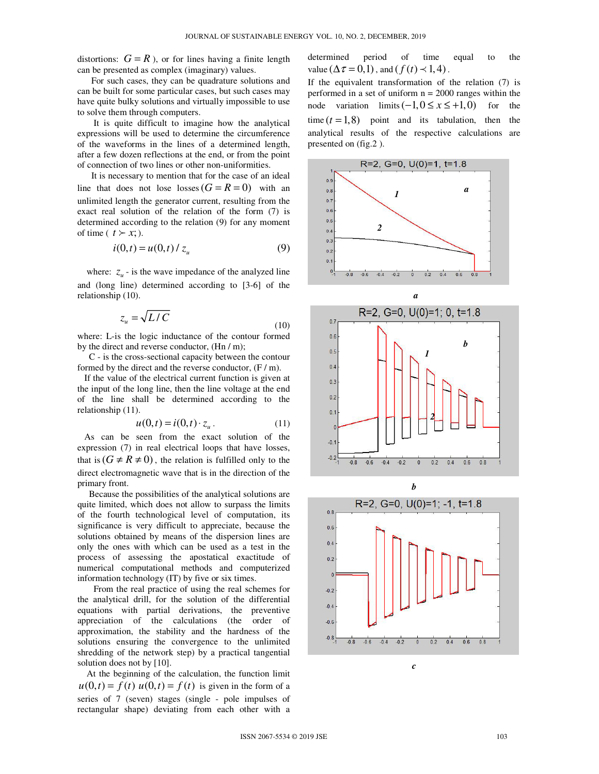distortions:  $G = R$ ), or for lines having a finite length can be presented as complex (imaginary) values.

 For such cases, they can be quadrature solutions and can be built for some particular cases, but such cases may have quite bulky solutions and virtually impossible to use to solve them through computers.

 It is quite difficult to imagine how the analytical expressions will be used to determine the circumference of the waveforms in the lines of a determined length, after a few dozen reflections at the end, or from the point of connection of two lines or other non-uniformities.

 It is necessary to mention that for the case of an ideal line that does not lose losses  $(G = R = 0)$  with an unlimited length the generator current, resulting from the exact real solution of the relation of the form (7) is determined according to the relation (9) for any moment of time (  $t > x$ ; ).

$$
i(0,t) = u(0,t) / z_u
$$
 (9)

where:  $z_u$  - is the wave impedance of the analyzed line and (long line) determined according to [3-6] of the relationship (10).

$$
z_u = \sqrt{L/C} \tag{10}
$$

where: L-is the logic inductance of the contour formed by the direct and reverse conductor, (Hn / m);

 C - is the cross-sectional capacity between the contour formed by the direct and the reverse conductor,  $(F/m)$ .

 If the value of the electrical current function is given at the input of the long line, then the line voltage at the end of the line shall be determined according to the relationship (11).

$$
u(0,t) = i(0,t) \cdot z_u.
$$
 (11)

 As can be seen from the exact solution of the expression (7) in real electrical loops that have losses, that is  $(G \neq R \neq 0)$ , the relation is fulfilled only to the direct electromagnetic wave that is in the direction of the primary front.

 Because the possibilities of the analytical solutions are quite limited, which does not allow to surpass the limits of the fourth technological level of computation, its significance is very difficult to appreciate, because the solutions obtained by means of the dispersion lines are only the ones with which can be used as a test in the process of assessing the apostatical exactitude of numerical computational methods and computerized information technology (IT) by five or six times.

 From the real practice of using the real schemes for the analytical drill, for the solution of the differential equations with partial derivations, the preventive appreciation of the calculations (the order of approximation, the stability and the hardness of the solutions ensuring the convergence to the unlimited shredding of the network step) by a practical tangential solution does not by [10].

 At the beginning of the calculation, the function limit  $u(0,t) = f(t) u(0,t) = f(t)$  is given in the form of a series of 7 (seven) stages (single - pole impulses of rectangular shape) deviating from each other with a determined period of time equal to the value ( $\Delta \tau = 0, 1$ ), and ( $f(t) \prec 1, 4$ ).

If the equivalent transformation of the relation (7) is performed in a set of uniform  $n = 2000$  ranges within the node variation  $\lim$ its  $(-1,0 \le x \le +1,0)$  for the time  $(t = 1,8)$  point and its tabulation, then the analytical results of the respective calculations are presented on (fig.2 ).





*c*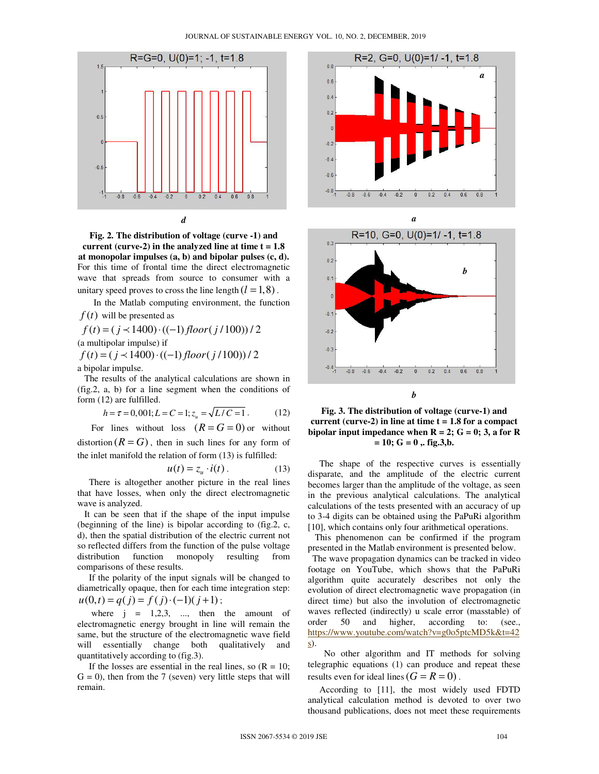

**Fig. 2. The distribution of voltage (curve -1) and current (curve-2) in the analyzed line at time t = 1.8 at monopolar impulses (a, b) and bipolar pulses (c, d).**  For this time of frontal time the direct electromagnetic wave that spreads from source to consumer with a unitary speed proves to cross the line length  $(l = 1, 8)$ .

In the Matlab computing environment, the function

 $f(t)$  will be presented as

$$
f(t) = (j \prec 1400) \cdot ((-1) floor(j/100)) / 2
$$
  
(a multipolar impulse) if

 $f(t) = (j \prec 1400) \cdot ((-1)$  *floor*  $(j/100)) / 2$ a bipolar impulse.

 The results of the analytical calculations are shown in (fig.2, a, b) for a line segment when the conditions of form (12) are fulfilled.

$$
h = \tau = 0,001; L = C = 1; z_u = \sqrt{L/C = 1}.
$$
 (12)

For lines without loss  $(R = G = 0)$  or without distortion  $(R = G)$ , then in such lines for any form of the inlet manifold the relation of form (13) is fulfilled:

$$
u(t) = z_u \cdot i(t) \,. \tag{13}
$$

 There is altogether another picture in the real lines that have losses, when only the direct electromagnetic wave is analyzed.

 It can be seen that if the shape of the input impulse (beginning of the line) is bipolar according to (fig.2, c, d), then the spatial distribution of the electric current not so reflected differs from the function of the pulse voltage distribution function monopoly resulting from comparisons of these results.

 If the polarity of the input signals will be changed to diametrically opaque, then for each time integration step:  $u(0,t) = q(j) = f(j) \cdot (-1)(j+1);$ 

where  $j = 1,2,3, \dots$ , then the amount of electromagnetic energy brought in line will remain the same, but the structure of the electromagnetic wave field will essentially change both qualitatively and quantitatively according to (fig.3).

If the losses are essential in the real lines, so  $(R = 10)$ ;  $G = 0$ , then from the 7 (seven) very little steps that will remain.







**Fig. 3. The distribution of voltage (curve-1) and**  current (curve-2) in line at time  $t = 1.8$  for a compact **bipolar input impedance when**  $R = 2$ **;**  $G = 0$ **; 3, a for R**  $= 10$ ;  $G = 0$ ,  $f$ ig.3,b.

 The shape of the respective curves is essentially disparate, and the amplitude of the electric current becomes larger than the amplitude of the voltage, as seen in the previous analytical calculations. The analytical calculations of the tests presented with an accuracy of up to 3-4 digits can be obtained using the PaPuRi algorithm [10], which contains only four arithmetical operations.

 This phenomenon can be confirmed if the program presented in the Matlab environment is presented below.

 The wave propagation dynamics can be tracked in video footage on YouTube, which shows that the PaPuRi algorithm quite accurately describes not only the evolution of direct electromagnetic wave propagation (in direct time) but also the involution of electromagnetic waves reflected (indirectly) u scale error (masstable) of order 50 and higher, according to: (see., https://www.youtube.com/watch?v=g0o5ptcMD5k&t=42 s).

 No other algorithm and IT methods for solving telegraphic equations (1) can produce and repeat these results even for ideal lines  $(G = R = 0)$ .

 According to [11], the most widely used FDTD analytical calculation method is devoted to over two thousand publications, does not meet these requirements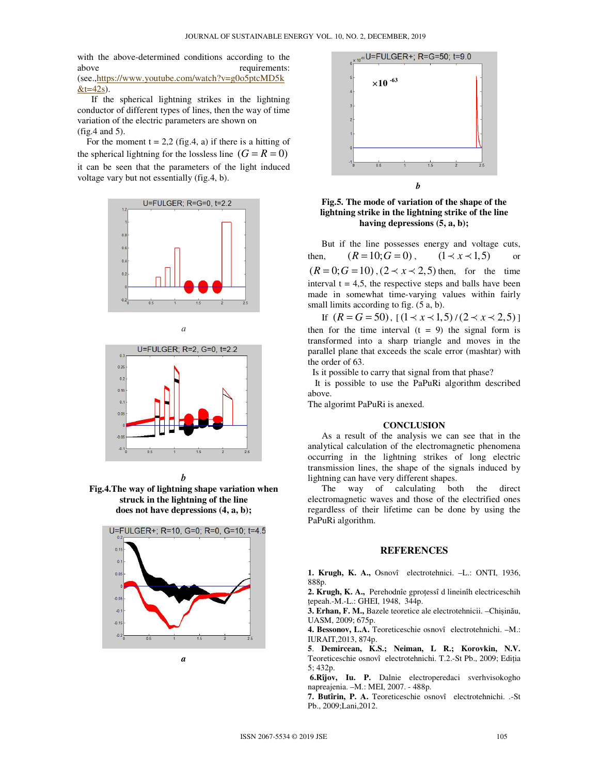with the above-determined conditions according to the above requirements: (see.,https://www.youtube.com/watch?v=g0o5ptcMD5k  $&t=42s$ ).

 If the spherical lightning strikes in the lightning conductor of different types of lines, then the way of time variation of the electric parameters are shown on (fig.4 and 5).

For the moment  $t = 2.2$  (fig.4, a) if there is a hitting of the spherical lightning for the lossless line  $(G = R = 0)$ it can be seen that the parameters of the light induced voltage vary but not essentially (fig.4, b).









**Fig.4.The way of lightning shape variation when struck in the lightning of the line does not have depressions (4, a, b);** 





**Fig.5. The mode of variation of the shape of the lightning strike in the lightning strike of the line having depressions (5, a, b);** 

 But if the line possesses energy and voltage cuts, then,  $(R = 10; G = 0)$ ,  $(1 \prec x \prec 1,5)$  or  $(R = 0; G = 10)$ ,  $(2 \prec x \prec 2,5)$  then, for the time interval  $t = 4.5$ , the respective steps and balls have been made in somewhat time-varying values within fairly small limits according to fig.  $(5 a, b)$ .

If  $(R = G = 50)$ ,  $(1 \prec x \prec 1,5) / (2 \prec x \prec 2,5)$ then for the time interval  $(t = 9)$  the signal form is transformed into a sharp triangle and moves in the parallel plane that exceeds the scale error (mashtar) with the order of 63.

Is it possible to carry that signal from that phase?

 It is possible to use the PaPuRi algorithm described above.

The algorimt PaPuRi is anexed.

#### **CONCLUSION**

 As a result of the analysis we can see that in the analytical calculation of the electromagnetic phenomena occurring in the lightning strikes of long electric transmission lines, the shape of the signals induced by lightning can have very different shapes.

 The way of calculating both the direct electromagnetic waves and those of the electrified ones regardless of their lifetime can be done by using the PaPuRi algorithm.

## **REFERENCES**

**1. Krugh, K. A.,** Osnovî electrotehnici. –L.: ONTI, 1936, 888p.

**2. Krugh, K. A.,** Perehodnîe gproțessî d lineinîh electriceschih țepeah.-M.-L.: GHEI, 1948, 344p.

**3. Erhan, F. M.,** Bazele teoretice ale electrotehnicii. –Chișinău, UASM, 2009; 675p.

**4. Bessonov, L.A.** Teoreticeschie osnovî electrotehnichi. –M.: IURAIT,2013, 874p.

**5**. **Demircean, K.S.; Neiman, L R.; Korovkin, N.V.** Teoreticeschie osnovî electrotehnichi. T.2.-St Pb., 2009; Ediția 5; 432p.

 **6.Rîjov, Iu. P.** Dalnie electroperedaci sverhvisokogho napreajenia. –M.: MEI, 2007. - 488p.

**7. Butîrin, P. A.** Teoreticeschie osnovî electrotehnichi. .-St Pb., 2009;Lani,2012.